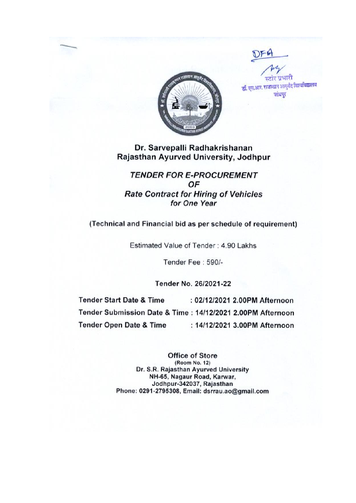TTETT डॉ. एस.आर. राजस्थान आयुर्वेद विश्वविद्यालय जांधपुर

## Dr. Sarvepalli Radhakrishanan Rajasthan Ayurved University, Jodhpur

# **TENDER FOR E-PROCUREMENT** OF **Rate Contract for Hiring of Vehicles** for One Year

(Technical and Financial bid as per schedule of requirement)

Estimated Value of Tender : 4.90 Lakhs

Tender Fee: 590/-

Tender No. 26/2021-22

**Tender Start Date & Time** : 02/12/2021 2.00PM Afternoon Tender Submission Date & Time: 14/12/2021 2.00PM Afternoon **Tender Open Date & Time** : 14/12/2021 3.00PM Afternoon

> **Office of Store** (Room No. 12) Dr. S.R. Rajasthan Ayurved University NH-65, Nagaur Road, Karwar, Jodhpur-342037, Rajasthan Phone: 0291-2795308, Email: dsrrau.ao@gmail.com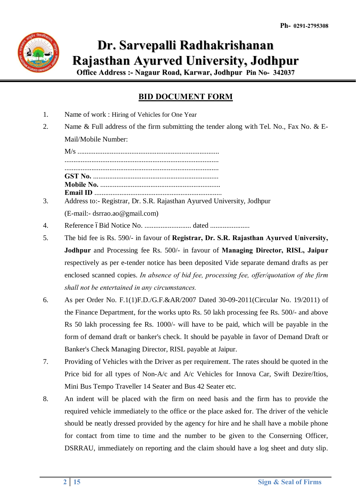

# **Dr. Sarvepalli Radhakrishanan Rajasthan Ayurved University, Jodhpur**

**Office Address :- Nagaur Road, Karwar, Jodhpur Pin No- 342037**

# **BID DOCUMENT FORM**

- 1. Name of work : Hiring of Vehicles for One Year
- 2. Name & Full address of the firm submitting the tender along with Tel. No., Fax No. & E-Mail/Mobile Number:

M/s ............................................................................... ...................................................................................... ...................................................................................... **GST No.** ...................................................................... **Mobile No.** ................................................................... **Email ID** .......................................................................

- 3. Address to:- Registrar, Dr. S.R. Rajasthan Ayurved University, Jodhpur (E-mail:- dsrrao.ao@gmail.com)
- 4. Reference –Bid Notice No. .......................... dated ......................
- 5. The bid fee is Rs. 590/- in favour of **Registrar, Dr. S.R. Rajasthan Ayurved University, Jodhpur** and Processing fee Rs. 500/- in favour of **Managing Director, RISL, Jaipur** respectively as per e-tender notice has been deposited Vide separate demand drafts as per enclosed scanned copies. *In absence of bid fee, processing fee, offer/quotation of the firm shall not be entertained in any circumstances.*
- 6. As per Order No. F.1(1)F.D./G.F.&AR/2007 Dated 30-09-2011(Circular No. 19/2011) of the Finance Department, for the works upto Rs. 50 lakh processing fee Rs. 500/- and above Rs 50 lakh processing fee Rs. 1000/- will have to be paid, which will be payable in the form of demand draft or banker's check. It should be payable in favor of Demand Draft or Banker's Check Managing Director, RISL payable at Jaipur.
- 7. Providing of Vehicles with the Driver as per requirement. The rates should be quoted in the Price bid for all types of Non-A/c and A/c Vehicles for Innova Car, Swift Dezire/Itios, Mini Bus Tempo Traveller 14 Seater and Bus 42 Seater etc.
- 8. An indent will be placed with the firm on need basis and the firm has to provide the required vehicle immediately to the office or the place asked for. The driver of the vehicle should be neatly dressed provided by the agency for hire and he shall have a mobile phone for contact from time to time and the number to be given to the Conserning Officer, DSRRAU, immediately on reporting and the claim should have a log sheet and duty slip.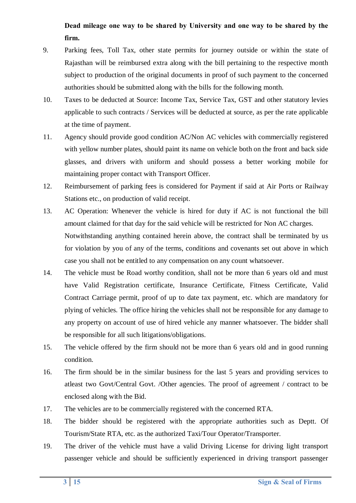# **Dead mileage one way to be shared by University and one way to be shared by the firm.**

- 9. Parking fees, Toll Tax, other state permits for journey outside or within the state of Rajasthan will be reimbursed extra along with the bill pertaining to the respective month subject to production of the original documents in proof of such payment to the concerned authorities should be submitted along with the bills for the following month.
- 10. Taxes to be deducted at Source: Income Tax, Service Tax, GST and other statutory levies applicable to such contracts / Services will be deducted at source, as per the rate applicable at the time of payment.
- 11. Agency should provide good condition AC/Non AC vehicles with commercially registered with yellow number plates, should paint its name on vehicle both on the front and back side glasses, and drivers with uniform and should possess a better working mobile for maintaining proper contact with Transport Officer.
- 12. Reimbursement of parking fees is considered for Payment if said at Air Ports or Railway Stations etc., on production of valid receipt.
- 13. AC Operation: Whenever the vehicle is hired for duty if AC is not functional the bill amount claimed for that day for the said vehicle will be restricted for Non AC charges. Notwithstanding anything contained herein above, the contract shall be terminated by us for violation by you of any of the terms, conditions and covenants set out above in which case you shall not be entitled to any compensation on any count whatsoever.
- 14. The vehicle must be Road worthy condition, shall not be more than 6 years old and must have Valid Registration certificate, Insurance Certificate, Fitness Certificate, Valid Contract Carriage permit, proof of up to date tax payment, etc. which are mandatory for plying of vehicles. The office hiring the vehicles shall not be responsible for any damage to any property on account of use of hired vehicle any manner whatsoever. The bidder shall be responsible for all such litigations/obligations.
- 15. The vehicle offered by the firm should not be more than 6 years old and in good running condition.
- 16. The firm should be in the similar business for the last 5 years and providing services to atleast two Govt/Central Govt. /Other agencies. The proof of agreement / contract to be enclosed along with the Bid.
- 17. The vehicles are to be commercially registered with the concerned RTA.
- 18. The bidder should be registered with the appropriate authorities such as Deptt. Of Tourism/State RTA, etc. as the authorized Taxi/Tour Operator/Transporter.
- 19. The driver of the vehicle must have a valid Driving License for driving light transport passenger vehicle and should be sufficiently experienced in driving transport passenger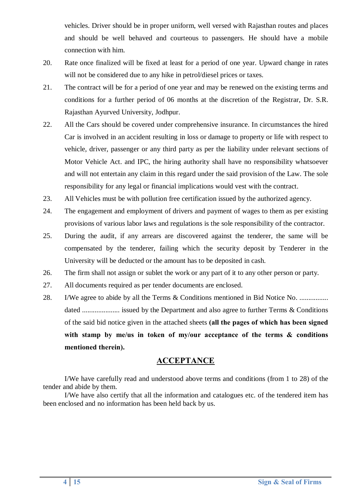vehicles. Driver should be in proper uniform, well versed with Rajasthan routes and places and should be well behaved and courteous to passengers. He should have a mobile connection with him.

- 20. Rate once finalized will be fixed at least for a period of one year. Upward change in rates will not be considered due to any hike in petrol/diesel prices or taxes.
- 21. The contract will be for a period of one year and may be renewed on the existing terms and conditions for a further period of 06 months at the discretion of the Registrar, Dr. S.R. Rajasthan Ayurved University, Jodhpur.
- 22. All the Cars should be covered under comprehensive insurance. In circumstances the hired Car is involved in an accident resulting in loss or damage to property or life with respect to vehicle, driver, passenger or any third party as per the liability under relevant sections of Motor Vehicle Act. and IPC, the hiring authority shall have no responsibility whatsoever and will not entertain any claim in this regard under the said provision of the Law. The sole responsibility for any legal or financial implications would vest with the contract.
- 23. All Vehicles must be with pollution free certification issued by the authorized agency.
- 24. The engagement and employment of drivers and payment of wages to them as per existing provisions of various labor laws and regulations is the sole responsibility of the contractor.
- 25. During the audit, if any arrears are discovered against the tenderer, the same will be compensated by the tenderer, failing which the security deposit by Tenderer in the University will be deducted or the amount has to be deposited in cash.
- 26. The firm shall not assign or sublet the work or any part of it to any other person or party.
- 27. All documents required as per tender documents are enclosed.
- 28. I/We agree to abide by all the Terms & Conditions mentioned in Bid Notice No. ................. dated ..................... issued by the Department and also agree to further Terms & Conditions of the said bid notice given in the attached sheets **(all the pages of which has been signed with stamp by me/us in token of my/our acceptance of the terms & conditions mentioned therein).**

## **ACCEPTANCE**

I/We have carefully read and understood above terms and conditions (from 1 to 28) of the tender and abide by them.

I/We have also certify that all the information and catalogues etc. of the tendered item has been enclosed and no information has been held back by us.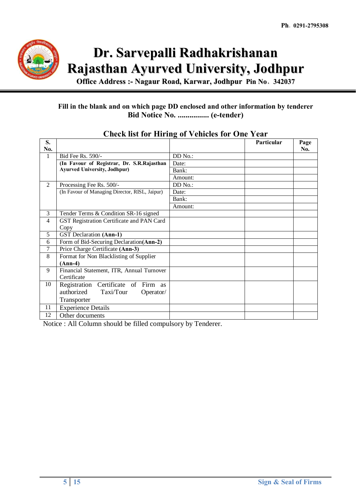

# **Dr. Sarvepalli Radhakrishanan Rajasthan Ayurved University, Jodhpur**

**Office Address :- Nagaur Road, Karwar, Jodhpur Pin No**- **342037**

## **Fill in the blank and on which page DD enclosed and other information by tenderer Bid Notice No. ................ (e-tender)**

| S.<br>No.      |                                                |         | Particular | Page |
|----------------|------------------------------------------------|---------|------------|------|
| 1              | Bid Fee Rs. 590/-                              | DD No.: |            | No.  |
|                |                                                |         |            |      |
|                | (In Favour of Registrar, Dr. S.R.Rajasthan     | Date:   |            |      |
|                | <b>Ayurved University, Jodhpur)</b>            | Bank:   |            |      |
|                |                                                | Amount: |            |      |
| $\overline{2}$ | Processing Fee Rs. 500/-                       | DD No.: |            |      |
|                | (In Favour of Managing Director, RISL, Jaipur) | Date:   |            |      |
|                |                                                | Bank:   |            |      |
|                |                                                | Amount: |            |      |
| 3              | Tender Terms & Condition SR-16 signed          |         |            |      |
| $\overline{4}$ | GST Registration Certificate and PAN Card      |         |            |      |
|                | Copy                                           |         |            |      |
| 5              | <b>GST</b> Declaration (Ann-1)                 |         |            |      |
| 6              | Form of Bid-Securing Declaration(Ann-2)        |         |            |      |
| 7              | Price Charge Certificate (Ann-3)               |         |            |      |
| 8              | Format for Non Blacklisting of Supplier        |         |            |      |
|                | $(Ann-4)$                                      |         |            |      |
| 9              | Financial Statement, ITR, Annual Turnover      |         |            |      |
|                | Certificate                                    |         |            |      |
| 10             | Registration Certificate of Firm as            |         |            |      |
|                | authorized<br>Taxi/Tour<br>Operator/           |         |            |      |
|                | Transporter                                    |         |            |      |
| 11             | <b>Experience Details</b>                      |         |            |      |
| 12             | Other documents                                |         |            |      |

# **Check list for Hiring of Vehicles for One Year**

Notice : All Column should be filled compulsory by Tenderer.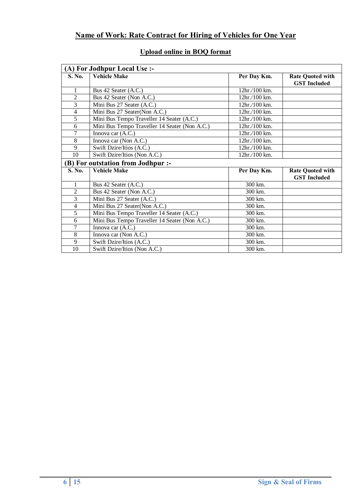# **Name of Work: Rate Contract for Hiring of Vehicles for One Year**

| (A) For Jodhpur Local Use :- |                                               |                |                                                |  |  |  |
|------------------------------|-----------------------------------------------|----------------|------------------------------------------------|--|--|--|
| S. No.                       | <b>Vehicle Make</b>                           | Per Day Km.    | <b>Rate Quoted with</b><br><b>GST</b> Included |  |  |  |
| 1                            | Bus 42 Seater (A.C.)                          | 12hr./100 km.  |                                                |  |  |  |
| $\overline{2}$               | Bus 42 Seater (Non A.C.)                      | $12hr/100km$ . |                                                |  |  |  |
| $\overline{3}$               | Mini Bus 27 Seater (A.C.)                     | 12hr/100 km.   |                                                |  |  |  |
| $\overline{4}$               | Mini Bus 27 Seater(Non A.C.)                  | 12hr./100 km.  |                                                |  |  |  |
| 5                            | Mini Bus Tempo Traveller 14 Seater (A.C.)     | 12hr./100 km.  |                                                |  |  |  |
| 6                            | Mini Bus Tempo Traveller 14 Seater (Non A.C.) | 12hr./100 km.  |                                                |  |  |  |
| $\tau$                       | Innova car (A.C.)                             | 12hr./100 km.  |                                                |  |  |  |
| 8                            | Innova car (Non A.C.)                         | 12hr/100 km.   |                                                |  |  |  |
| 9                            | Swift Dzire/Itios (A.C.)                      | 12hr./100 km.  |                                                |  |  |  |
| 10                           | Swift Dzire/Itios (Non A.C.)                  | 12hr./100 km.  |                                                |  |  |  |
|                              | (B) For outstation from Jodhpur :-            |                |                                                |  |  |  |
| S. No.                       | <b>Vehicle Make</b>                           | Per Day Km.    | <b>Rate Quoted with</b>                        |  |  |  |
|                              |                                               |                | <b>GST</b> Included                            |  |  |  |
| 1                            | Bus 42 Seater (A.C.)                          | 300 km.        |                                                |  |  |  |
| $\overline{2}$               | Bus 42 Seater (Non A.C.)                      | 300 km.        |                                                |  |  |  |
| $\overline{3}$               | Mini Bus 27 Seater (A.C.)                     | 300 km.        |                                                |  |  |  |
| $\overline{4}$               | Mini Bus 27 Seater(Non A.C.)                  | 300 km.        |                                                |  |  |  |
| 5                            | Mini Bus Tempo Traveller 14 Seater (A.C.)     | 300 km.        |                                                |  |  |  |
| 6                            | Mini Bus Tempo Traveller 14 Seater (Non A.C.) | 300 km.        |                                                |  |  |  |
| $\tau$                       | Innova car (A.C.)                             | 300 km.        |                                                |  |  |  |
| 8                            | Innova car (Non A.C.)                         | 300 km.        |                                                |  |  |  |
| 9                            | Swift Dzire/Itios (A.C.)                      | 300 km.        |                                                |  |  |  |
| 10                           | Swift Dzire/Itios (Non A.C.)                  | 300 km.        |                                                |  |  |  |

# **Upload online in BOQ format**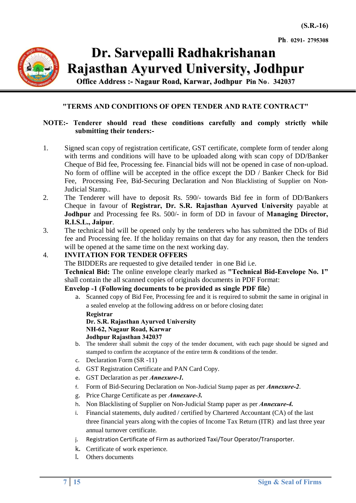**Ph**- **0291- 2795308**



 **Dr. Sarvepalli Radhakrishanan Rajasthan Ayurved University, Jodhpur**

**Office Address :- Nagaur Road, Karwar, Jodhpur Pin No**- **342037**

#### **"TERMS AND CONDITIONS OF OPEN TENDER AND RATE CONTRACT"**

#### **NOTE:- Tenderer should read these conditions carefully and comply strictly while submitting their tenders:-**

- 1. Signed scan copy of registration certificate, GST certificate, complete form of tender along with terms and conditions will have to be uploaded along with scan copy of DD/Banker Cheque of Bid fee, Processing fee. Financial bids will not be opened in case of non-upload. No form of offline will be accepted in the office except the DD / Banker Check for Bid Fee, Processing Fee, Bid-Securing Declaration and Non Blacklisting of Supplier on Non-Judicial Stamp..
- 2. The Tenderer will have to deposit Rs. 590/- towards Bid fee in form of DD/Bankers Cheque in favour of **Registrar, Dr. S.R. Rajasthan Ayurved University** payable at **Jodhpur** and Processing fee Rs. 500/- in form of DD in favour of **Managing Director, R.I.S.L., Jaipur**.
- 3. The technical bid will be opened only by the tenderers who has submitted the DDs of Bid fee and Processing fee. If the holiday remains on that day for any reason, then the tenders will be opened at the same time on the next working day.

#### 4. **INVITATION FOR TENDER OFFERS**

The BIDDERs are requested to give detailed tender in one Bid i.e.

**Technical Bid:** The online envelope clearly marked as **"Technical Bid-Envelope No. 1"** shall contain the all scanned copies of originals documents in PDF Format:

#### **Envelop -1 (Following documents to be provided as single PDF file**)

a. Scanned copy of Bid Fee, Processing fee and it is required to submit the same in original in a sealed envelop at the following address on or before closing date**:** 

**Registrar**

**Dr. S.R. Rajasthan Ayurved University NH-62, Nagaur Road, Karwar Jodhpur Rajasthan 342037**

- b. The tenderer shall submit the copy of the tender document, with each page should be signed and stamped to confirm the acceptance of the entire term & conditions of the tender.
- c. Declaration Form (SR -11)
- d. GST Registration Certificate and PAN Card Copy.
- e. GST Declaration as per *Annexure-1.*
- f. Form of Bid-Securing Declaration on Non-Judicial Stamp paper as per *Annexure-2*.
- g. Price Charge Certificate as per *Annexure-3.*
- h. Non Blacklisting of Supplier on Non-Judicial Stamp paper as per *Annexure-4.*
- i. Financial statements, duly audited / certified by Chartered Accountant (CA) of the last three financial years along with the copies of Income Tax Return (ITR) and last three year annual turnover certificate.
- j. Registration Certificate of Firm as authorized Taxi/Tour Operator/Transporter.
- k. Certificate of work experience.
- l. Others documents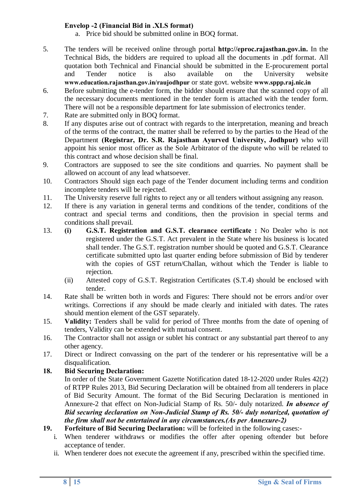#### **Envelop -2 (Financial Bid in .XLS format)**

- a. Price bid should be submitted online in BOQ format.
- 5. The tenders will be received online through portal **http://eproc.rajasthan.gov.in.** In the Technical Bids, the bidders are required to upload all the documents in .pdf format. All quotation both Technical and Financial should be submitted in the E-procurement portal and Tender notice is also available on the University website **www.education.rajasthan.gov.in/raujodhpur** or state govt. website **www.sppp.raj.nic.in**
- 6. Before submitting the e-tender form, the bidder should ensure that the scanned copy of all the necessary documents mentioned in the tender form is attached with the tender form. There will not be a responsible department for late submission of electronics tender.
- 7. Rate are submitted only in BOQ format.
- 8. If any disputes arise out of contract with regards to the interpretation, meaning and breach of the terms of the contract, the matter shall be referred to by the parties to the Head of the Department **(Registrar, Dr. S.R. Rajasthan Ayurved University, Jodhpur)** who will appoint his senior most officer as the Sole Arbitrator of the dispute who will be related to this contract and whose decision shall be final.
- 9. Contractors are supposed to see the site conditions and quarries. No payment shall be allowed on account of any lead whatsoever.
- 10. Contractors Should sign each page of the Tender document including terms and condition incomplete tenders will be rejected.
- 11. The University reserve full rights to reject any or all tenders without assigning any reason.
- 12. If there is any variation in general terms and conditions of the tender, conditions of the contract and special terms and conditions, then the provision in special terms and conditions shall prevail.
- 13. **(i) G.S.T. Registration and G.S.T. clearance certificate :** No Dealer who is not registered under the G.S.T. Act prevalent in the State where his business is located shall tender. The G.S.T. registration number should be quoted and G.S.T. Clearance certificate submitted upto last quarter ending before submission of Bid by tenderer with the copies of GST return/Challan, without which the Tender is liable to rejection.
	- (ii) Attested copy of G.S.T. Registration Certificates (S.T.4) should be enclosed with tender.
- 14. Rate shall be written both in words and Figures: There should not be errors and/or over writings. Corrections if any should be made clearly and initialed with dates. The rates should mention element of the GST separately.
- 15. **Validity:** Tenders shall be valid for period of Three months from the date of opening of tenders, Validity can be extended with mutual consent.
- 16. The Contractor shall not assign or sublet his contract or any substantial part thereof to any other agency.
- 17. Direct or Indirect convassing on the part of the tenderer or his representative will be a disqualification.

## **18. Bid Securing Declaration:**

In order of the State Government Gazette Notification dated 18-12-2020 under Rules 42(2) of RTPP Rules 2013, Bid Securing Declaration will be obtained from all tenderers in place of Bid Security Amount. The format of the Bid Securing Declaration is mentioned in Annexure-2 that effect on Non-Judicial Stamp of Rs. 50/- duly notarized. *In absence of Bid securing declaration on Non-Judicial Stamp of Rs. 50/- duly notarized, quotation of the firm shall not be entertained in any circumstances.(As per Annexure-2)*

- **19. Forfeiture of Bid Securing Declaration:** will be forfeited in the following cases:
	- i. When tenderer withdraws or modifies the offer after opening oftender but before acceptance of tender.
	- ii. When tenderer does not execute the agreement if any, prescribed within the specified time.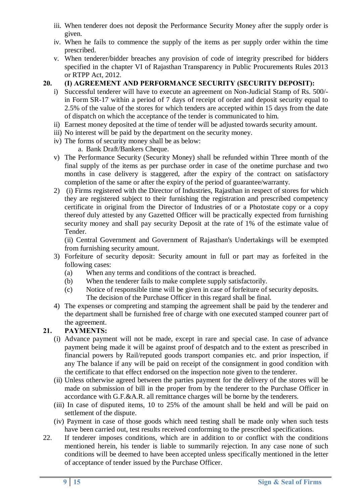- iii. When tenderer does not deposit the Performance Security Money after the supply order is given.
- iv. When he fails to commence the supply of the items as per supply order within the time prescribed.
- v. When tenderer/bidder breaches any provision of code of integrity prescribed for bidders specified in the chapter VI of Rajasthan Transparency in Public Procurements Rules 2013 or RTPP Act, 2012.

#### **20. (I) AGREEMENT AND PERFORMANCE SECURITY (SECURITY DEPOSIT):**

- i) Successful tenderer will have to execute an agreement on Non-Judicial Stamp of Rs. 500/ in Form SR-17 within a period of 7 days of receipt of order and deposit security equal to 2.5% of the value of the stores for which tenders are accepted within 15 days from the date of dispatch on which the acceptance of the tender is communicated to him.
- ii) Earnest money deposited at the time of tender will be adjusted towards security amount.
- iii) No interest will be paid by the department on the security money.
- iv) The forms of security money shall be as below:
	- a. Bank Draft/Bankers Cheque.
- v) The Performance Security (Security Money) shall be refunded within Three month of the final supply of the items as per purchase order in case of the onetime purchase and two months in case delivery is staggered, after the expiry of the contract on satisfactory completion of the same or after the expiry of the period of guarantee/warranty.
- 2) (i) Firms registered with the Director of Industries, Rajasthan in respect of stores for which they are registered subject to their furnishing the registration and prescribed competency certificate in original from the Director of Industries of or a Photostate copy or a copy thereof duly attested by any Gazetted Officer will be practically expected from furnishing security money and shall pay security Deposit at the rate of 1% of the estimate value of Tender.

(ii) Central Government and Government of Rajasthan's Undertakings will be exempted from furnishing security amount.

- 3) Forfeiture of security deposit: Security amount in full or part may as forfeited in the following cases:
	- (a) When any terms and conditions of the contract is breached.
	- (b) When the tenderer fails to make complete supply satisfactorily.
	- (c) Notice of responsible time will be given in case of forfeiture of security deposits. The decision of the Purchase Officer in this regard shall be final.
- 4) The expenses or compreting and stamping the agreement shall be paid by the tenderer and the department shall be furnished free of charge with one executed stamped counrer part of the agreement.

## **21. PAYMENTS:**

- (i) Advance payment will not be made, except in rare and special case. In case of advance payment being made it will be against proof of despatch and to the extent as prescribed in financial powers by Rail/reputed goods transport companies etc. and prior inspection, if any The balance if any will be paid on receipt of the consignment in good condition with the certificate to that effect endorsed on the inspection note given to the tenderer.
- (ii) Unless otherwise agreed between the parties payment for the delivery of the stores will be made on submission of bill in the proper from by the tenderer to the Purchase Officer in accordance with G.F.&A.R. all remittance charges will be borne by the tenderers.
- (iii) In case of disputed items, 10 to 25% of the amount shall be held and will be paid on settlement of the dispute.
- (iv) Payment in case of those goods which need testing shall be made only when such tests have been carried out, test results received conforming to the prescribed specifications.
- 22. If tenderer imposes conditions, which are in addition to or conflict with the conditions mentioned herein, his tender is liable to summarily rejection. In any case none of such conditions will be deemed to have been accepted unless specifically mentioned in the letter of acceptance of tender issued by the Purchase Officer.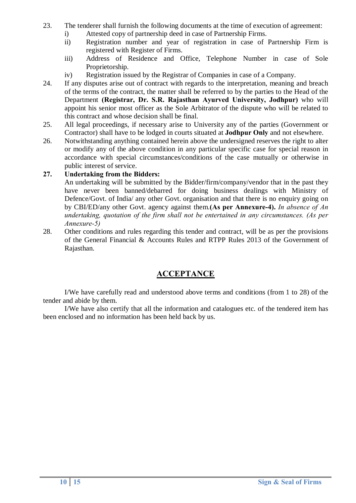- 23. The tenderer shall furnish the following documents at the time of execution of agreement:
	- i) Attested copy of partnership deed in case of Partnership Firms.
	- ii) Registration number and year of registration in case of Partnership Firm is registered with Register of Firms.
	- iii) Address of Residence and Office, Telephone Number in case of Sole Proprietorship.
	- iv) Registration issued by the Registrar of Companies in case of a Company.
- 24. If any disputes arise out of contract with regards to the interpretation, meaning and breach of the terms of the contract, the matter shall be referred to by the parties to the Head of the Department **(Registrar, Dr. S.R. Rajasthan Ayurved University, Jodhpur)** who will appoint his senior most officer as the Sole Arbitrator of the dispute who will be related to this contract and whose decision shall be final.
- 25. All legal proceedings, if necessary arise to University any of the parties (Government or Contractor) shall have to be lodged in courts situated at **Jodhpur Only** and not elsewhere.
- 26. Notwithstanding anything contained herein above the undersigned reserves the right to alter or modify any of the above condition in any particular specific case for special reason in accordance with special circumstances/conditions of the case mutually or otherwise in public interest of service.

#### **27. Undertaking from the Bidders:**

An undertaking will be submitted by the Bidder/firm/company/vendor that in the past they have never been banned/debarred for doing business dealings with Ministry of Defence/Govt. of India/ any other Govt. organisation and that there is no enquiry going on by CBI/ED/any other Govt. agency against them.**(As per Annexure-4).** *In absence of An undertaking, quotation of the firm shall not be entertained in any circumstances. (As per Annexure-5)*

28. Other conditions and rules regarding this tender and contract, will be as per the provisions of the General Financial & Accounts Rules and RTPP Rules 2013 of the Government of Rajasthan.

# **ACCEPTANCE**

I/We have carefully read and understood above terms and conditions (from 1 to 28) of the tender and abide by them.

I/We have also certify that all the information and catalogues etc. of the tendered item has been enclosed and no information has been held back by us.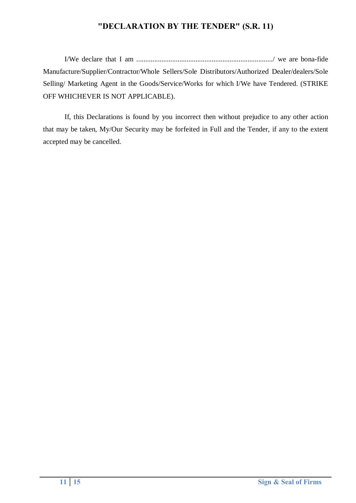# **"DECLARATION BY THE TENDER" (S.R. 11)**

I/We declare that I am ............................................................................/ we are bona-fide Manufacture/Supplier/Contractor/Whole Sellers/Sole Distributors/Authorized Dealer/dealers/Sole Selling/ Marketing Agent in the Goods/Service/Works for which I/We have Tendered. (STRIKE OFF WHICHEVER IS NOT APPLICABLE).

If, this Declarations is found by you incorrect then without prejudice to any other action that may be taken, My/Our Security may be forfeited in Full and the Tender, if any to the extent accepted may be cancelled.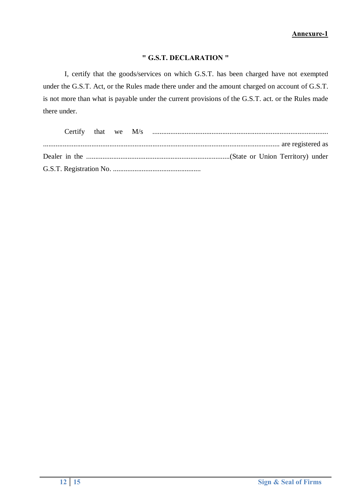## **" G.S.T. DECLARATION "**

I, certify that the goods/services on which G.S.T. has been charged have not exempted under the G.S.T. Act, or the Rules made there under and the amount charged on account of G.S.T. is not more than what is payable under the current provisions of the G.S.T. act. or the Rules made there under.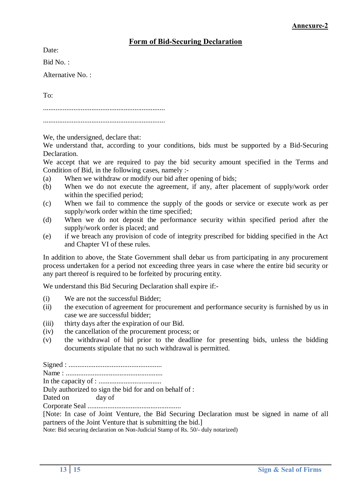## **Form of Bid-Securing Declaration**

Date:

Bid No. :

Alternative No. :

To:

....................................................................

....................................................................

We, the undersigned, declare that:

We understand that, according to your conditions, bids must be supported by a Bid-Securing Declaration.

We accept that we are required to pay the bid security amount specified in the Terms and Condition of Bid, in the following cases, namely :-

- (a) When we withdraw or modify our bid after opening of bids;
- (b) When we do not execute the agreement, if any, after placement of supply/work order within the specified period:
- (c) When we fail to commence the supply of the goods or service or execute work as per supply/work order within the time specified;
- (d) When we do not deposit the performance security within specified period after the supply/work order is placed; and
- (e) if we breach any provision of code of integrity prescribed for bidding specified in the Act and Chapter VI of these rules.

In addition to above, the State Government shall debar us from participating in any procurement process undertaken for a period not exceeding three years in case where the entire bid security or any part thereof is required to be forfeited by procuring entity.

We understand this Bid Securing Declaration shall expire if:-

- (i) We are not the successful Bidder;
- (ii) the execution of agreement for procurement and performance security is furnished by us in case we are successful bidder;
- (iii) thirty days after the expiration of our Bid.
- (iv) the cancellation of the procurement process; or
- (v) the withdrawal of bid prior to the deadline for presenting bids, unless the bidding documents stipulate that no such withdrawal is permitted.

Signed : .................................................... Name : ......................................................

In the capacity of : ...................................

Duly authorized to sign the bid for and on behalf of :

Dated on day of

Corporate Seal ....................................................

[Note: In case of Joint Venture, the Bid Securing Declaration must be signed in name of all partners of the Joint Venture that is submitting the bid.]

Note: Bid securing declaration on Non-Judicial Stamp of Rs. 50/- duly notarized)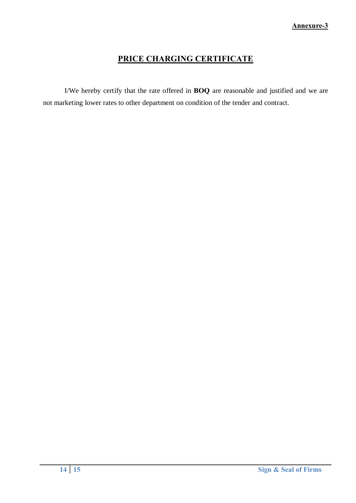# **PRICE CHARGING CERTIFICATE**

I/We hereby certify that the rate offered in **BOQ** are reasonable and justified and we are not marketing lower rates to other department on condition of the tender and contract.